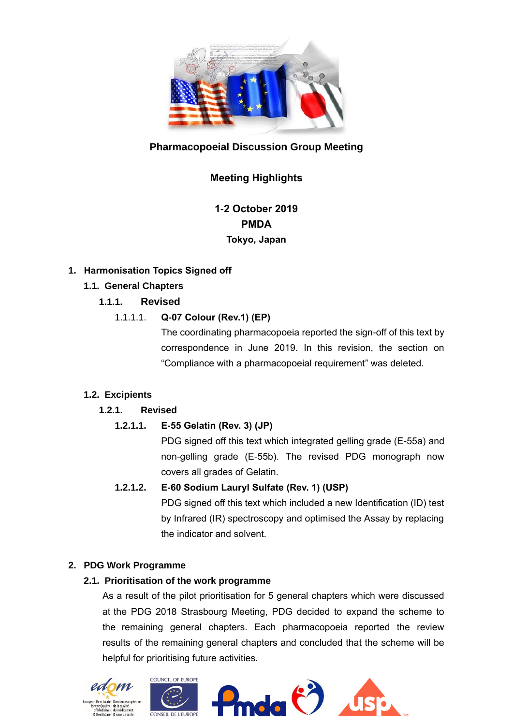

# **Pharmacopoeial Discussion Group Meeting**

# **Meeting Highlights**

**1-2 October 2019 PMDA Tokyo, Japan**

## **1. Harmonisation Topics Signed off**

# **1.1. General Chapters**

# **1.1.1. Revised**

# 1.1.1.1. **Q-07 Colour (Rev.1) (EP)**

The coordinating pharmacopoeia reported the sign-off of this text by correspondence in June 2019. In this revision, the section on "Compliance with a pharmacopoeial requirement" was deleted.

# **1.2. Excipients**

# **1.2.1. Revised**

#### **1.2.1.1. E-55 Gelatin (Rev. 3) (JP)**

PDG signed off this text which integrated gelling grade (E-55a) and non-gelling grade (E-55b). The revised PDG monograph now covers all grades of Gelatin.

#### **1.2.1.2. E-60 Sodium Lauryl Sulfate (Rev. 1) (USP)**

PDG signed off this text which included a new Identification (ID) test by Infrared (IR) spectroscopy and optimised the Assay by replacing the indicator and solvent.

## **2. PDG Work Programme**

## **2.1. Prioritisation of the work programme**

As a result of the pilot prioritisation for 5 general chapters which were discussed at the PDG 2018 Strasbourg Meeting, PDG decided to expand the scheme to the remaining general chapters. Each pharmacopoeia reported the review results of the remaining general chapters and concluded that the scheme will be helpful for prioritising future activities.

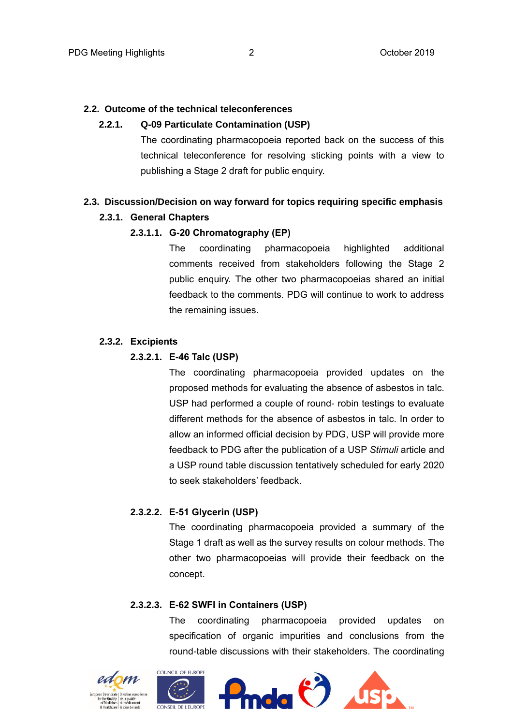#### **2.2. Outcome of the technical teleconferences**

#### **2.2.1. Q-09 Particulate Contamination (USP)**

The coordinating pharmacopoeia reported back on the success of this technical teleconference for resolving sticking points with a view to publishing a Stage 2 draft for public enquiry.

#### **2.3. Discussion/Decision on way forward for topics requiring specific emphasis**

#### **2.3.1. General Chapters**

#### **2.3.1.1. G-20 Chromatography (EP)**

The coordinating pharmacopoeia highlighted additional comments received from stakeholders following the Stage 2 public enquiry. The other two pharmacopoeias shared an initial feedback to the comments. PDG will continue to work to address the remaining issues.

#### **2.3.2. Excipients**

#### **2.3.2.1. E-46 Talc (USP)**

The coordinating pharmacopoeia provided updates on the proposed methods for evaluating the absence of asbestos in talc. USP had performed a couple of round- robin testings to evaluate different methods for the absence of asbestos in talc. In order to allow an informed official decision by PDG, USP will provide more feedback to PDG after the publication of a USP *Stimuli* article and a USP round table discussion tentatively scheduled for early 2020 to seek stakeholders' feedback.

### **2.3.2.2. E-51 Glycerin (USP)**

The coordinating pharmacopoeia provided a summary of the Stage 1 draft as well as the survey results on colour methods. The other two pharmacopoeias will provide their feedback on the concept.

#### **2.3.2.3. E-62 SWFI in Containers (USP)**

The coordinating pharmacopoeia provided updates on specification of organic impurities and conclusions from the round-table discussions with their stakeholders. The coordinating